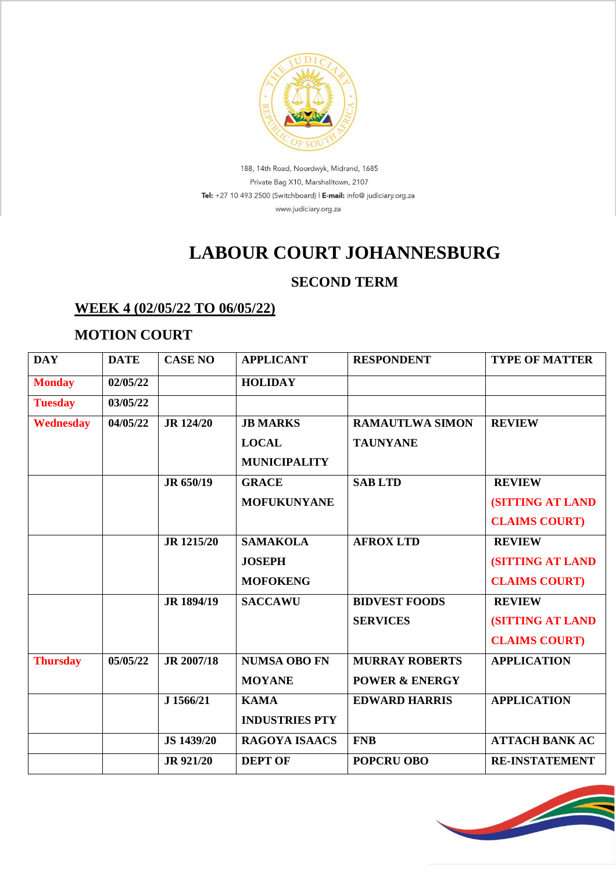

188, 14th Road, Noordwyk, Midrand, 1685 Private Bag X10, Marshalltown, 2107 Tel: +27 10 493 2500 (Switchboard) | E-mail: info@ judiciary.org.za www.judiciary.org.za

# **LABOUR COURT JOHANNESBURG**

### **SECOND TERM**

#### **WEEK 4 (02/05/22 TO 06/05/22)**

#### **MOTION COURT**

| <b>DAY</b>       | <b>DATE</b> | <b>CASE NO</b>    | <b>APPLICANT</b>      | <b>RESPONDENT</b>         | <b>TYPE OF MATTER</b>   |
|------------------|-------------|-------------------|-----------------------|---------------------------|-------------------------|
| <b>Monday</b>    | 02/05/22    |                   | <b>HOLIDAY</b>        |                           |                         |
| <b>Tuesday</b>   | 03/05/22    |                   |                       |                           |                         |
| <b>Wednesday</b> | 04/05/22    | <b>JR</b> 124/20  | <b>JB MARKS</b>       | <b>RAMAUTLWA SIMON</b>    | <b>REVIEW</b>           |
|                  |             |                   | <b>LOCAL</b>          | <b>TAUNYANE</b>           |                         |
|                  |             |                   | <b>MUNICIPALITY</b>   |                           |                         |
|                  |             | JR 650/19         | <b>GRACE</b>          | <b>SABLTD</b>             | <b>REVIEW</b>           |
|                  |             |                   | <b>MOFUKUNYANE</b>    |                           | <b>(SITTING AT LAND</b> |
|                  |             |                   |                       |                           | <b>CLAIMS COURT)</b>    |
|                  |             | <b>JR</b> 1215/20 | <b>SAMAKOLA</b>       | <b>AFROX LTD</b>          | <b>REVIEW</b>           |
|                  |             |                   | <b>JOSEPH</b>         |                           | <b>(SITTING AT LAND</b> |
|                  |             |                   | <b>MOFOKENG</b>       |                           | <b>CLAIMS COURT)</b>    |
|                  |             | JR 1894/19        | <b>SACCAWU</b>        | <b>BIDVEST FOODS</b>      | <b>REVIEW</b>           |
|                  |             |                   |                       | <b>SERVICES</b>           | <b>(SITTING AT LAND</b> |
|                  |             |                   |                       |                           | <b>CLAIMS COURT)</b>    |
| <b>Thursday</b>  | 05/05/22    | JR 2007/18        | <b>NUMSA OBO FN</b>   | <b>MURRAY ROBERTS</b>     | <b>APPLICATION</b>      |
|                  |             |                   | <b>MOYANE</b>         | <b>POWER &amp; ENERGY</b> |                         |
|                  |             | J 1566/21         | <b>KAMA</b>           | <b>EDWARD HARRIS</b>      | <b>APPLICATION</b>      |
|                  |             |                   | <b>INDUSTRIES PTY</b> |                           |                         |
|                  |             | <b>JS 1439/20</b> | <b>RAGOYA ISAACS</b>  | <b>FNB</b>                | <b>ATTACH BANK AC</b>   |
|                  |             | <b>JR 921/20</b>  | <b>DEPT OF</b>        | <b>POPCRU OBO</b>         | <b>RE-INSTATEMENT</b>   |

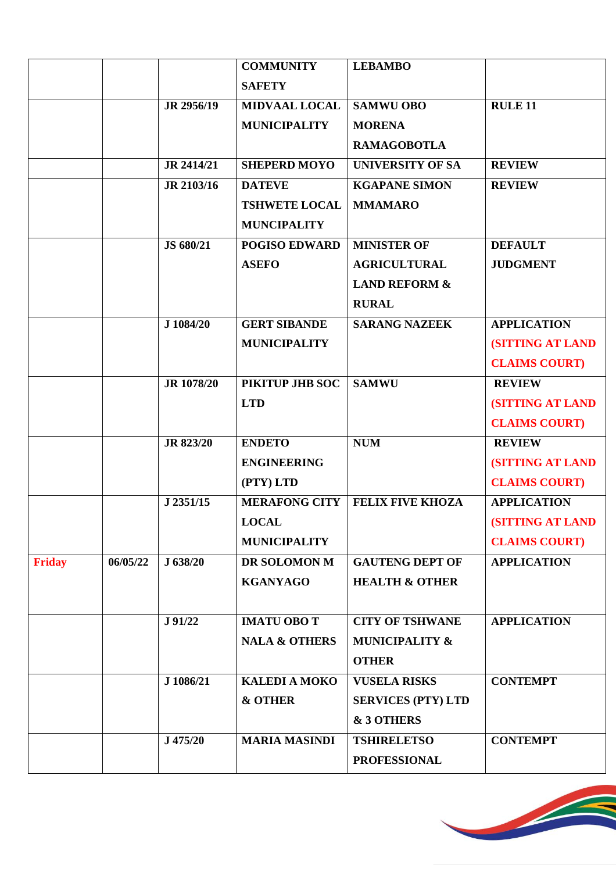|               |          |            | <b>COMMUNITY</b>         | <b>LEBAMBO</b>            |                         |
|---------------|----------|------------|--------------------------|---------------------------|-------------------------|
|               |          |            | <b>SAFETY</b>            |                           |                         |
|               |          | JR 2956/19 | <b>MIDVAAL LOCAL</b>     | <b>SAMWU OBO</b>          | <b>RULE 11</b>          |
|               |          |            | <b>MUNICIPALITY</b>      | <b>MORENA</b>             |                         |
|               |          |            |                          | <b>RAMAGOBOTLA</b>        |                         |
|               |          | JR 2414/21 | <b>SHEPERD MOYO</b>      | <b>UNIVERSITY OF SA</b>   | <b>REVIEW</b>           |
|               |          | JR 2103/16 | <b>DATEVE</b>            | <b>KGAPANE SIMON</b>      | <b>REVIEW</b>           |
|               |          |            | <b>TSHWETE LOCAL</b>     | <b>MMAMARO</b>            |                         |
|               |          |            | <b>MUNCIPALITY</b>       |                           |                         |
|               |          | JS 680/21  | <b>POGISO EDWARD</b>     | <b>MINISTER OF</b>        | <b>DEFAULT</b>          |
|               |          |            | <b>ASEFO</b>             | <b>AGRICULTURAL</b>       | <b>JUDGMENT</b>         |
|               |          |            |                          | <b>LAND REFORM &amp;</b>  |                         |
|               |          |            |                          | <b>RURAL</b>              |                         |
|               |          | J 1084/20  | <b>GERT SIBANDE</b>      | <b>SARANG NAZEEK</b>      | <b>APPLICATION</b>      |
|               |          |            | <b>MUNICIPALITY</b>      |                           | <b>(SITTING AT LAND</b> |
|               |          |            |                          |                           | <b>CLAIMS COURT)</b>    |
|               |          | JR 1078/20 | PIKITUP JHB SOC          | <b>SAMWU</b>              | <b>REVIEW</b>           |
|               |          |            | <b>LTD</b>               |                           | <b>(SITTING AT LAND</b> |
|               |          |            |                          |                           | <b>CLAIMS COURT)</b>    |
|               |          | JR 823/20  | <b>ENDETO</b>            | <b>NUM</b>                | <b>REVIEW</b>           |
|               |          |            | <b>ENGINEERING</b>       |                           | <b>(SITTING AT LAND</b> |
|               |          |            | (PTY) LTD                |                           | <b>CLAIMS COURT)</b>    |
|               |          | J 2351/15  | <b>MERAFONG CITY</b>     | <b>FELIX FIVE KHOZA</b>   | <b>APPLICATION</b>      |
|               |          |            | <b>LOCAL</b>             |                           | <b>(SITTING AT LAND</b> |
|               |          |            | <b>MUNICIPALITY</b>      |                           | <b>CLAIMS COURT)</b>    |
| <b>Friday</b> | 06/05/22 | J 638/20   | DR SOLOMON M             | <b>GAUTENG DEPT OF</b>    | <b>APPLICATION</b>      |
|               |          |            | <b>KGANYAGO</b>          | <b>HEALTH &amp; OTHER</b> |                         |
|               |          |            |                          |                           |                         |
|               |          | J 91/22    | <b>IMATU OBO T</b>       | <b>CITY OF TSHWANE</b>    | <b>APPLICATION</b>      |
|               |          |            | <b>NALA &amp; OTHERS</b> | <b>MUNICIPALITY &amp;</b> |                         |
|               |          |            |                          | <b>OTHER</b>              |                         |
|               |          | J 1086/21  | <b>KALEDI A MOKO</b>     | <b>VUSELA RISKS</b>       | <b>CONTEMPT</b>         |
|               |          |            | <b>&amp; OTHER</b>       | <b>SERVICES (PTY) LTD</b> |                         |
|               |          |            |                          | & 3 OTHERS                |                         |
|               |          | J 475/20   | <b>MARIA MASINDI</b>     | <b>TSHIRELETSO</b>        | <b>CONTEMPT</b>         |
|               |          |            |                          | <b>PROFESSIONAL</b>       |                         |
|               |          |            |                          |                           |                         |

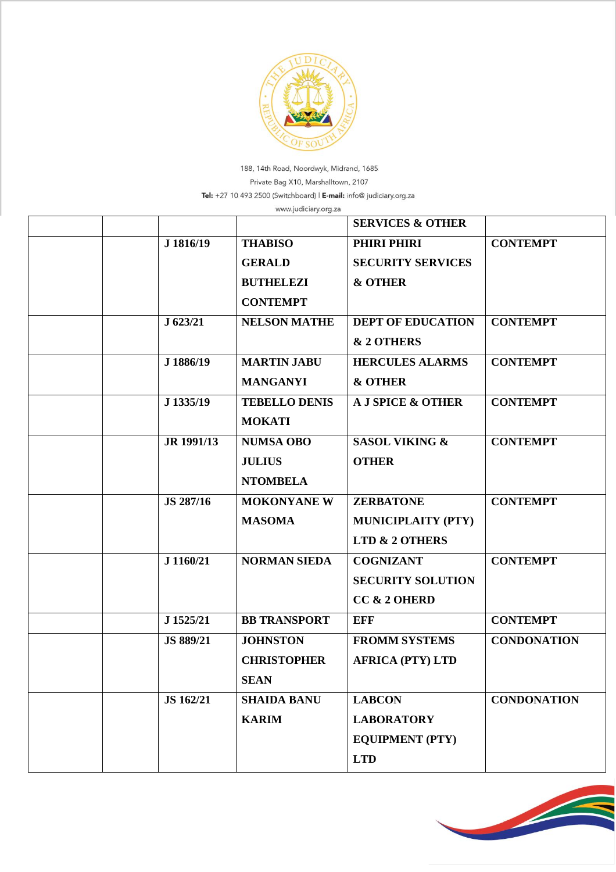

188, 14th Road, Noordwyk, Midrand, 1685 Private Bag X10, Marshalltown, 2107 Tel: +27 10 493 2500 (Switchboard) | E-mail: info@ judiciary.org.za

|  |            | www.judiciary.org.za |                             |                    |
|--|------------|----------------------|-----------------------------|--------------------|
|  |            |                      | <b>SERVICES &amp; OTHER</b> |                    |
|  | J 1816/19  | <b>THABISO</b>       | PHIRI PHIRI                 | <b>CONTEMPT</b>    |
|  |            | <b>GERALD</b>        | <b>SECURITY SERVICES</b>    |                    |
|  |            | <b>BUTHELEZI</b>     | <b>&amp; OTHER</b>          |                    |
|  |            | <b>CONTEMPT</b>      |                             |                    |
|  | J 623/21   | <b>NELSON MATHE</b>  | <b>DEPT OF EDUCATION</b>    | <b>CONTEMPT</b>    |
|  |            |                      | & 2 OTHERS                  |                    |
|  | J 1886/19  | <b>MARTIN JABU</b>   | <b>HERCULES ALARMS</b>      | <b>CONTEMPT</b>    |
|  |            | <b>MANGANYI</b>      | <b>&amp; OTHER</b>          |                    |
|  | J 1335/19  | <b>TEBELLO DENIS</b> | A J SPICE & OTHER           | <b>CONTEMPT</b>    |
|  |            | <b>MOKATI</b>        |                             |                    |
|  | JR 1991/13 | <b>NUMSA OBO</b>     | <b>SASOL VIKING &amp;</b>   | <b>CONTEMPT</b>    |
|  |            | <b>JULIUS</b>        | <b>OTHER</b>                |                    |
|  |            | <b>NTOMBELA</b>      |                             |                    |
|  | JS 287/16  | <b>MOKONYANE W</b>   | <b>ZERBATONE</b>            | <b>CONTEMPT</b>    |
|  |            | <b>MASOMA</b>        | <b>MUNICIPLAITY (PTY)</b>   |                    |
|  |            |                      | LTD & 2 OTHERS              |                    |
|  | J 1160/21  | <b>NORMAN SIEDA</b>  | <b>COGNIZANT</b>            | <b>CONTEMPT</b>    |
|  |            |                      | <b>SECURITY SOLUTION</b>    |                    |
|  |            |                      | CC & 2 OHERD                |                    |
|  | J 1525/21  | <b>BB TRANSPORT</b>  | <b>EFF</b>                  | <b>CONTEMPT</b>    |
|  | JS 889/21  | <b>JOHNSTON</b>      | <b>FROMM SYSTEMS</b>        | <b>CONDONATION</b> |
|  |            | <b>CHRISTOPHER</b>   | <b>AFRICA (PTY) LTD</b>     |                    |
|  |            | <b>SEAN</b>          |                             |                    |
|  | JS 162/21  | <b>SHAIDA BANU</b>   | <b>LABCON</b>               | <b>CONDONATION</b> |
|  |            | <b>KARIM</b>         | <b>LABORATORY</b>           |                    |
|  |            |                      | <b>EQUIPMENT (PTY)</b>      |                    |
|  |            |                      | <b>LTD</b>                  |                    |
|  |            |                      |                             |                    |

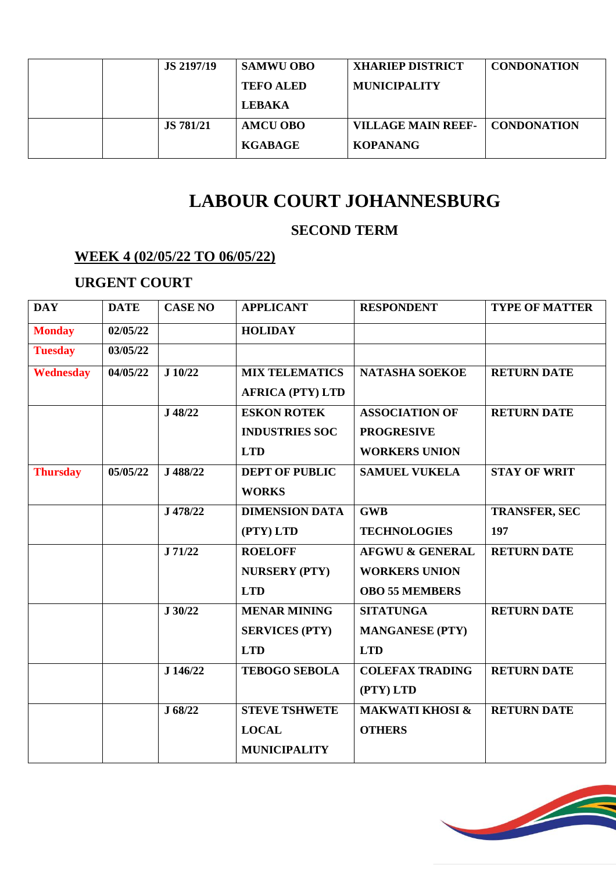|  | <b>JS 2197/19</b> | <b>SAMWU OBO</b> | <b>XHARIEP DISTRICT</b>   | <b>CONDONATION</b> |
|--|-------------------|------------------|---------------------------|--------------------|
|  |                   | <b>TEFO ALED</b> | <b>MUNICIPALITY</b>       |                    |
|  |                   | <b>LEBAKA</b>    |                           |                    |
|  | <b>JS</b> 781/21  | AMCU OBO         | <b>VILLAGE MAIN REEF-</b> | <b>CONDONATION</b> |
|  |                   | <b>KGABAGE</b>   | <b>KOPANANG</b>           |                    |

## **LABOUR COURT JOHANNESBURG**

#### **SECOND TERM**

#### **WEEK 4 (02/05/22 TO 06/05/22)**

### **URGENT COURT**

| <b>DAY</b>       | <b>DATE</b> | <b>CASE NO</b> | <b>APPLICANT</b>        | <b>RESPONDENT</b>          | <b>TYPE OF MATTER</b> |
|------------------|-------------|----------------|-------------------------|----------------------------|-----------------------|
| <b>Monday</b>    | 02/05/22    |                | <b>HOLIDAY</b>          |                            |                       |
| <b>Tuesday</b>   | 03/05/22    |                |                         |                            |                       |
| <b>Wednesday</b> | 04/05/22    | J 10/22        | <b>MIX TELEMATICS</b>   | <b>NATASHA SOEKOE</b>      | <b>RETURN DATE</b>    |
|                  |             |                | <b>AFRICA (PTY) LTD</b> |                            |                       |
|                  |             | J 48/22        | <b>ESKON ROTEK</b>      | <b>ASSOCIATION OF</b>      | <b>RETURN DATE</b>    |
|                  |             |                | <b>INDUSTRIES SOC</b>   | <b>PROGRESIVE</b>          |                       |
|                  |             |                | <b>LTD</b>              | <b>WORKERS UNION</b>       |                       |
| <b>Thursday</b>  | 05/05/22    | J 488/22       | <b>DEPT OF PUBLIC</b>   | <b>SAMUEL VUKELA</b>       | <b>STAY OF WRIT</b>   |
|                  |             |                | <b>WORKS</b>            |                            |                       |
|                  |             | J 478/22       | <b>DIMENSION DATA</b>   | <b>GWB</b>                 | <b>TRANSFER, SEC</b>  |
|                  |             |                | (PTY) LTD               | <b>TECHNOLOGIES</b>        | 197                   |
|                  |             | J 71/22        | <b>ROELOFF</b>          | <b>AFGWU &amp; GENERAL</b> | <b>RETURN DATE</b>    |
|                  |             |                | <b>NURSERY (PTY)</b>    | <b>WORKERS UNION</b>       |                       |
|                  |             |                | <b>LTD</b>              | <b>OBO 55 MEMBERS</b>      |                       |
|                  |             | J 30/22        | <b>MENAR MINING</b>     | <b>SITATUNGA</b>           | <b>RETURN DATE</b>    |
|                  |             |                | <b>SERVICES (PTY)</b>   | <b>MANGANESE (PTY)</b>     |                       |
|                  |             |                | <b>LTD</b>              | <b>LTD</b>                 |                       |
|                  |             | J 146/22       | <b>TEBOGO SEBOLA</b>    | <b>COLEFAX TRADING</b>     | <b>RETURN DATE</b>    |
|                  |             |                |                         | (PTY) LTD                  |                       |
|                  |             | J 68/22        | <b>STEVE TSHWETE</b>    | <b>MAKWATI KHOSI &amp;</b> | <b>RETURN DATE</b>    |
|                  |             |                | <b>LOCAL</b>            | <b>OTHERS</b>              |                       |
|                  |             |                | <b>MUNICIPALITY</b>     |                            |                       |